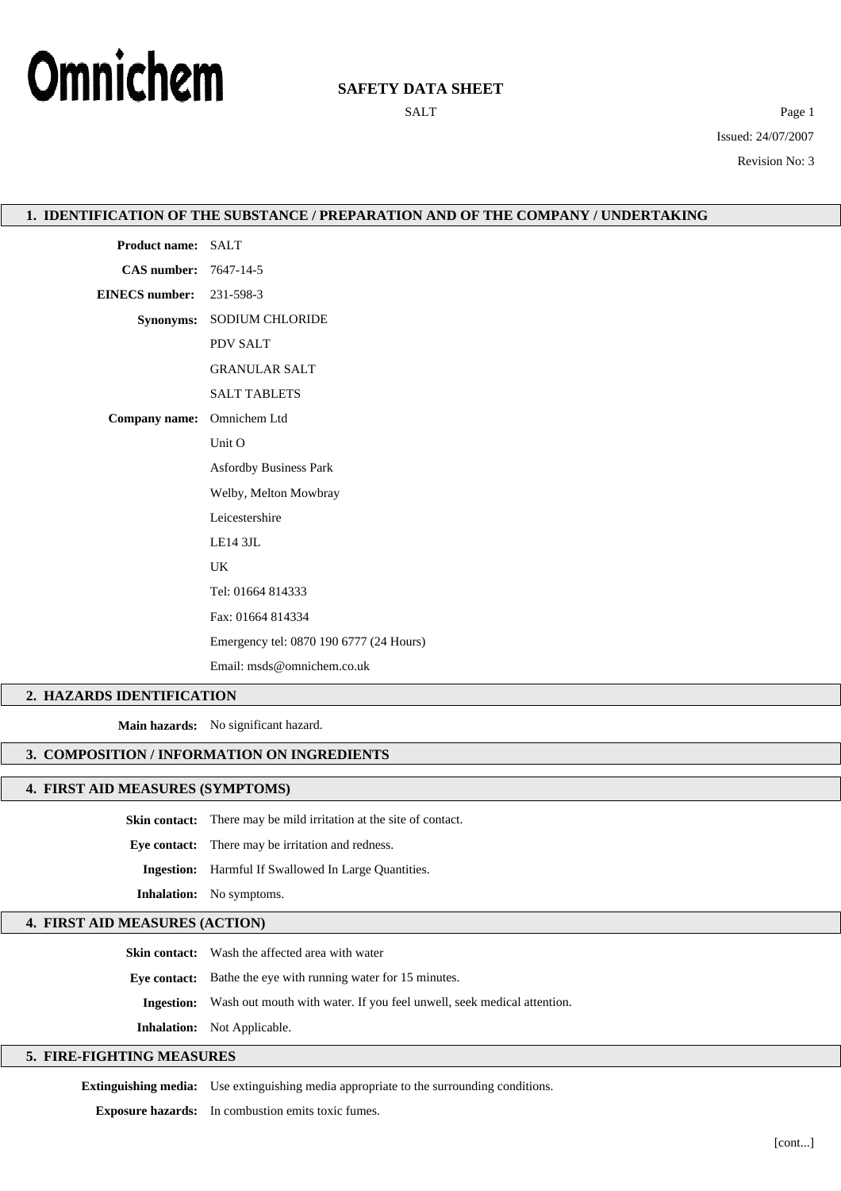

# **SAFETY DATA SHEET**

SALT Page 1 Issued: 24/07/2007 Revision No: 3

|                            | 1. IDENTIFICATION OF THE SUBSTANCE / PREPARATION AND OF THE COMPANY / UNDERTAKING |  |
|----------------------------|-----------------------------------------------------------------------------------|--|
| Product name: SALT         |                                                                                   |  |
| CAS number: 7647-14-5      |                                                                                   |  |
| <b>EINECS</b> number:      | 231-598-3                                                                         |  |
|                            | Synonyms: SODIUM CHLORIDE                                                         |  |
|                            | PDV SALT                                                                          |  |
|                            | <b>GRANULAR SALT</b>                                                              |  |
|                            | <b>SALT TABLETS</b>                                                               |  |
| Company name: Omnichem Ltd |                                                                                   |  |
|                            | Unit O                                                                            |  |
|                            | <b>Asfordby Business Park</b>                                                     |  |
|                            | Welby, Melton Mowbray                                                             |  |
|                            | Leicestershire                                                                    |  |
|                            | LE14 3JL                                                                          |  |
|                            | UK                                                                                |  |
|                            | Tel: 01664 814333                                                                 |  |
|                            | Fax: 01664 814334                                                                 |  |
|                            | Emergency tel: 0870 190 6777 (24 Hours)                                           |  |
|                            | Email: msds@omnichem.co.uk                                                        |  |
| 2. HAZARDS IDENTIFICATION  |                                                                                   |  |
|                            | Main hazards: No significant hazard.                                              |  |

## **3. COMPOSITION / INFORMATION ON INGREDIENTS**

#### **4. FIRST AID MEASURES (SYMPTOMS)**

**Skin contact:** There may be mild irritation at the site of contact. **Eye contact:** There may be irritation and redness.

**Ingestion:** Harmful If Swallowed In Large Quantities.

**Inhalation:** No symptoms.

## **4. FIRST AID MEASURES (ACTION)**

**Skin contact:** Wash the affected area with water

**Eye contact:** Bathe the eye with running water for 15 minutes.

**Ingestion:** Wash out mouth with water. If you feel unwell, seek medical attention.

**Inhalation:** Not Applicable.

### **5. FIRE-FIGHTING MEASURES**

**Extinguishing media:** Use extinguishing media appropriate to the surrounding conditions.

**Exposure hazards:** In combustion emits toxic fumes.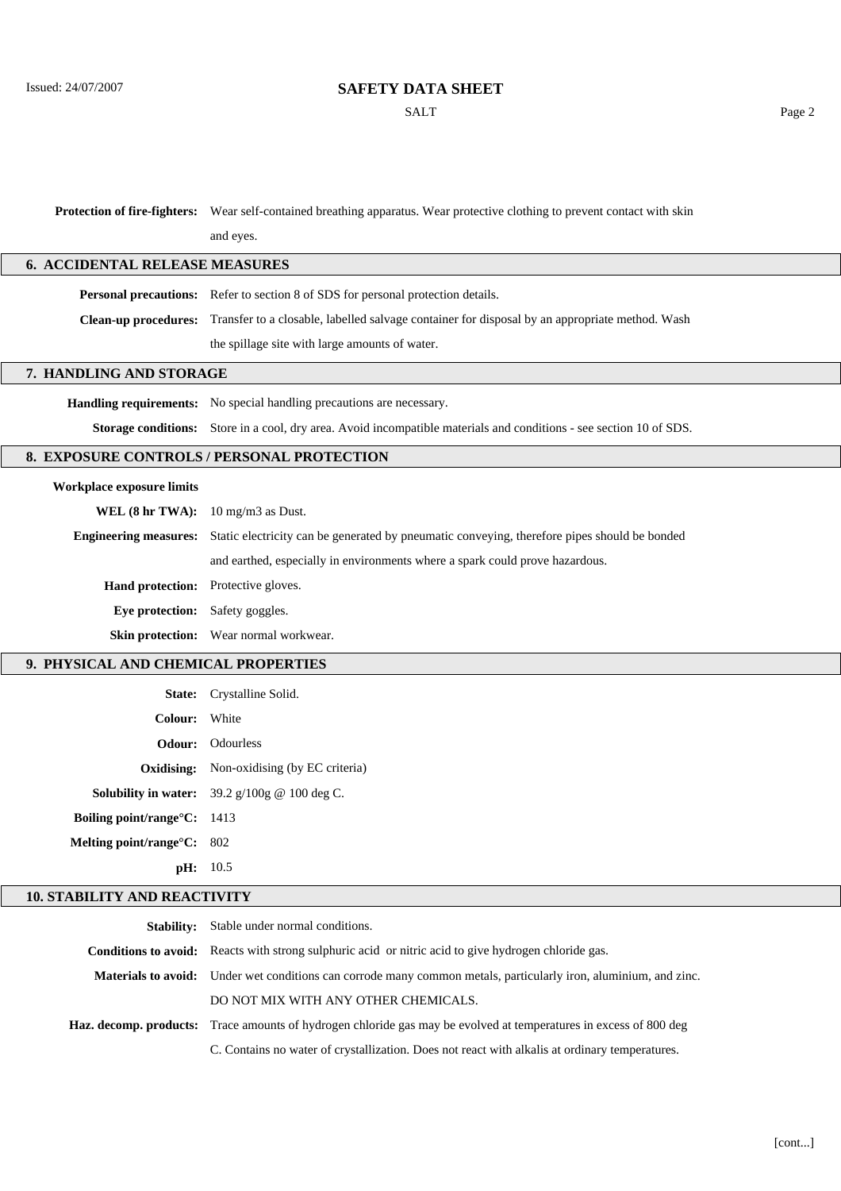# **SAFETY DATA SHEET**

SALT Page 2

**Protection of fire-fighters:** Wear self-contained breathing apparatus. Wear protective clothing to prevent contact with skin

and eyes.

### **6. ACCIDENTAL RELEASE MEASURES**

**Personal precautions:** Refer to section 8 of SDS for personal protection details.

**Clean-up procedures:** Transfer to a closable, labelled salvage container for disposal by an appropriate method. Wash

the spillage site with large amounts of water.

#### **7. HANDLING AND STORAGE**

**Handling requirements:** No special handling precautions are necessary.

**Storage conditions:** Store in a cool, dry area. Avoid incompatible materials and conditions - see section 10 of SDS.

#### **8. EXPOSURE CONTROLS / PERSONAL PROTECTION**

#### **Workplace exposure limits**

**WEL (8 hr TWA):** 10 mg/m3 as Dust. **Engineering measures:** Static electricity can be generated by pneumatic conveying, therefore pipes should be bonded and earthed, especially in environments where a spark could prove hazardous. **Hand protection:** Protective gloves. **Eye protection:** Safety goggles. **Skin protection:** Wear normal workwear.

#### **9. PHYSICAL AND CHEMICAL PROPERTIES**

|                                        | State: Crystalline Solid.                                                 |
|----------------------------------------|---------------------------------------------------------------------------|
| Colour: White                          |                                                                           |
|                                        | <b>Odour:</b> Odourless                                                   |
|                                        | <b>Oxidising:</b> Non-oxidising (by EC criteria)                          |
|                                        | <b>Solubility in water:</b> $39.2 \text{ g}/100 \text{ g} \ @$ 100 deg C. |
| Boiling point/range $\mathrm{C:}$ 1413 |                                                                           |
| Melting point/range $C: 802$           |                                                                           |
|                                        | pH: 10.5                                                                  |

#### **10. STABILITY AND REACTIVITY**

| <b>Stability:</b> Stable under normal conditions.                                                                        |
|--------------------------------------------------------------------------------------------------------------------------|
| Conditions to avoid: Reacts with strong sulphuric acid or nitric acid to give hydrogen chloride gas.                     |
| <b>Materials to avoid:</b> Under wet conditions can corrode many common metals, particularly iron, aluminium, and zinc.  |
| DO NOT MIX WITH ANY OTHER CHEMICALS.                                                                                     |
| <b>Haz. decomp. products:</b> Trace amounts of hydrogen chloride gas may be evolved at temperatures in excess of 800 deg |
| C. Contains no water of crystallization. Does not react with alkalis at ordinary temperatures.                           |